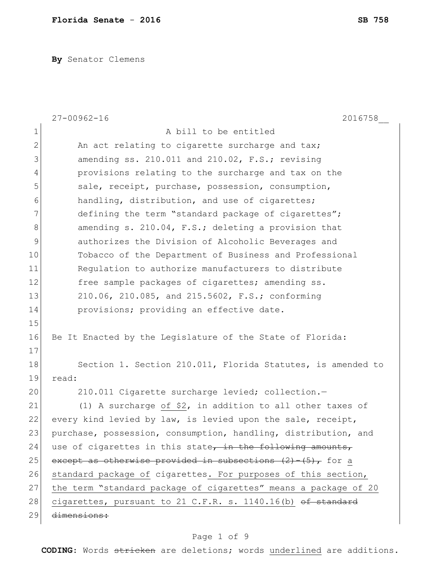**By** Senator Clemens

|                | $27 - 00962 - 16$<br>2016758                                           |
|----------------|------------------------------------------------------------------------|
| $\mathbf 1$    | A bill to be entitled                                                  |
| $\overline{2}$ | An act relating to cigarette surcharge and tax;                        |
| 3              | amending ss. 210.011 and 210.02, F.S.; revising                        |
| $\overline{4}$ | provisions relating to the surcharge and tax on the                    |
| 5              | sale, receipt, purchase, possession, consumption,                      |
| 6              | handling, distribution, and use of cigarettes;                         |
| 7              | defining the term "standard package of cigarettes";                    |
| 8              | amending s. 210.04, F.S.; deleting a provision that                    |
| 9              | authorizes the Division of Alcoholic Beverages and                     |
| 10             | Tobacco of the Department of Business and Professional                 |
| 11             | Requlation to authorize manufacturers to distribute                    |
| 12             | free sample packages of cigarettes; amending ss.                       |
| 13             | 210.06, 210.085, and 215.5602, F.S.; conforming                        |
| 14             | provisions; providing an effective date.                               |
| 15             |                                                                        |
| 16             | Be It Enacted by the Legislature of the State of Florida:              |
| 17             |                                                                        |
| 18             | Section 1. Section 210.011, Florida Statutes, is amended to            |
| 19             | read:                                                                  |
| 20             | 210.011 Cigarette surcharge levied; collection.-                       |
| 21             | (1) A surcharge of \$2, in addition to all other taxes of              |
| 22             | every kind levied by law, is levied upon the sale, receipt,            |
| 23             | purchase, possession, consumption, handling, distribution, and         |
| 24             | use of cigarettes in this state, in the following amounts,             |
| 25             | except as otherwise provided in subsections $(2) - (5)$ , for a        |
| 26             | standard package of cigarettes. For purposes of this section,          |
| 27             | the term "standard package of cigarettes" means a package of 20        |
| 28             | cigarettes, pursuant to 21 C.F.R. s. 1140.16(b) <del>of standard</del> |
| 29             | <del>dimensions:</del>                                                 |

# Page 1 of 9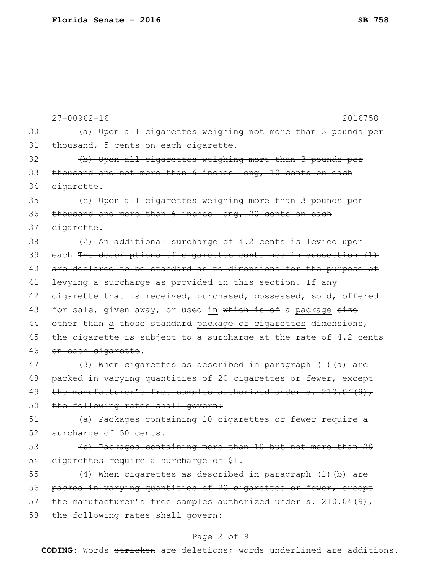|    | $27 - 00962 - 16$<br>2016758                                     |
|----|------------------------------------------------------------------|
| 30 | (a) Upon all cigarettes weighing not more than 3 pounds per      |
| 31 | thousand, 5 cents on each cigarette.                             |
| 32 | (b) Upon all cigarettes weighing more than 3 pounds per          |
| 33 | thousand and not more than 6 inches long, 10 cents on each       |
| 34 | eigarette.                                                       |
| 35 | (c) Upon all cigarettes weighing more than 3 pounds per          |
| 36 | thousand and more than 6 inches long, 20 cents on each           |
| 37 | eigarette.                                                       |
| 38 | (2) An additional surcharge of 4.2 cents is levied upon          |
| 39 | each The descriptions of cigarettes contained in subsection (1)  |
| 40 | are declared to be standard as to dimensions for the purpose of  |
| 41 | levying a surcharge as provided in this section. If any          |
| 42 | cigarette that is received, purchased, possessed, sold, offered  |
| 43 | for sale, given away, or used in which is of a package size      |
| 44 | other than a those standard package of cigarettes dimensions,    |
| 45 | the cigarette is subject to a surcharge at the rate of 4.2 cents |
| 46 | on each cigarette.                                               |
| 47 | $(3)$ When cigarettes as described in paragraph $(1)$ (a) are    |
| 48 | packed in varying quantities of 20 cigarettes or fewer, except   |
| 49 | the manufacturer's free samples authorized under s. 210.04(9),   |
| 50 | the following rates shall govern:                                |
| 51 | (a) Packages containing 10 cigarettes or fewer require a         |
| 52 | surcharge of 50 cents.                                           |
| 53 | (b) Packages containing more than 10 but not more than 20        |
| 54 | cigarettes require a surcharge of \$1.                           |
| 55 | (4) When cigarettes as described in paragraph (1) (b) are        |
| 56 | packed in varying quantities of 20 cigarettes or fewer, except   |
| 57 | the manufacturer's free samples authorized under s. 210.04(9),   |
| 58 | the following rates shall govern:                                |
|    | ₽                                                                |

#### Page 2 of 9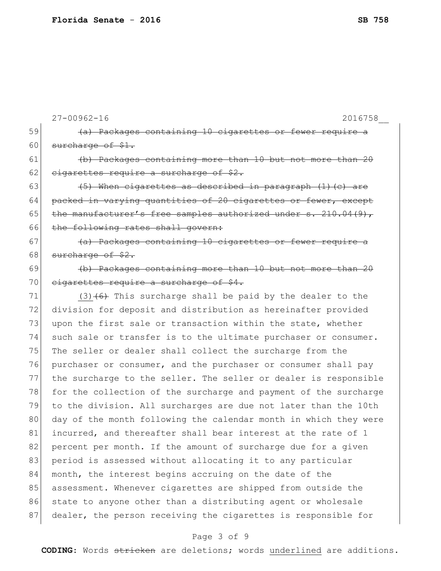|    | $27 - 00962 - 16$<br>2016758                                     |
|----|------------------------------------------------------------------|
| 59 | (a) Packages containing 10 cigarettes or fewer require a         |
| 60 | surcharge of \$1.                                                |
| 61 | (b) Packages containing more than 10 but not more than 20        |
| 62 | eigarettes require a surcharge of \$2.                           |
| 63 | (5) When cigarettes as described in paragraph (1) (c) are        |
| 64 | packed in varying quantities of 20 cigarettes or fewer, except   |
| 65 | the manufacturer's free samples authorized under s. 210.04(9),   |
| 66 | the following rates shall govern:                                |
| 67 | (a) Packages containing 10 cigarettes or fewer require a         |
| 68 | surcharge of \$2.                                                |
| 69 | (b) Packages containing more than 10 but not more than 20        |
| 70 | cigarettes require a surcharge of \$4.                           |
| 71 | $(3)$ $(6)$ This surcharge shall be paid by the dealer to the    |
| 72 | division for deposit and distribution as hereinafter provided    |
| 73 | upon the first sale or transaction within the state, whether     |
| 74 | such sale or transfer is to the ultimate purchaser or consumer.  |
| 75 | The seller or dealer shall collect the surcharge from the        |
| 76 | purchaser or consumer, and the purchaser or consumer shall pay   |
| 77 | the surcharge to the seller. The seller or dealer is responsible |
| 78 | for the collection of the surcharge and payment of the surcharge |
| 79 | to the division. All surcharges are due not later than the 10th  |
| 80 | day of the month following the calendar month in which they were |
| 81 | incurred, and thereafter shall bear interest at the rate of 1    |
| 82 | percent per month. If the amount of surcharge due for a given    |
| 83 | period is assessed without allocating it to any particular       |
| 84 | month, the interest begins accruing on the date of the           |
| 85 | assessment. Whenever cigarettes are shipped from outside the     |
| 86 | state to anyone other than a distributing agent or wholesale     |
| 87 | dealer, the person receiving the cigarettes is responsible for   |
|    |                                                                  |

# Page 3 of 9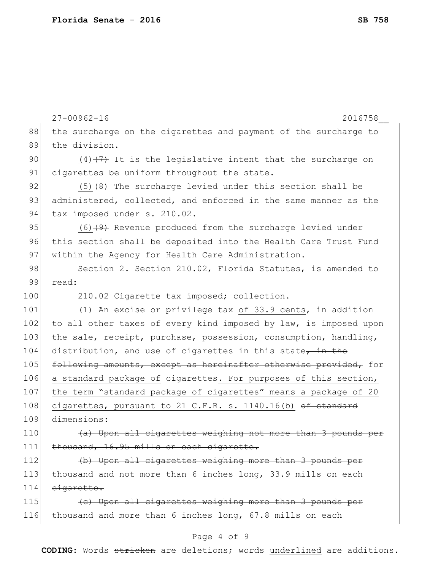|     | $27 - 00962 - 16$<br>2016758                                     |
|-----|------------------------------------------------------------------|
| 88  | the surcharge on the cigarettes and payment of the surcharge to  |
| 89  | the division.                                                    |
| 90  | $(4)$ $(7)$ It is the legislative intent that the surcharge on   |
| 91  | cigarettes be uniform throughout the state.                      |
| 92  | $(5)$ $(8)$ The surcharge levied under this section shall be     |
| 93  | administered, collected, and enforced in the same manner as the  |
| 94  | tax imposed under s. 210.02.                                     |
| 95  | $(6)$ $(4)$ Revenue produced from the surcharge levied under     |
| 96  | this section shall be deposited into the Health Care Trust Fund  |
| 97  | within the Agency for Health Care Administration.                |
| 98  | Section 2. Section 210.02, Florida Statutes, is amended to       |
| 99  | read:                                                            |
| 100 | 210.02 Cigarette tax imposed; collection.-                       |
| 101 | (1) An excise or privilege tax of 33.9 cents, in addition        |
| 102 | to all other taxes of every kind imposed by law, is imposed upon |
| 103 | the sale, receipt, purchase, possession, consumption, handling,  |
| 104 | distribution, and use of cigarettes in this state, in the        |
| 105 | following amounts, except as hereinafter otherwise provided, for |
| 106 | a standard package of cigarettes. For purposes of this section,  |
| 107 | the term "standard package of cigarettes" means a package of 20  |
| 108 | cigarettes, pursuant to 21 C.F.R. s. 1140.16(b) of standard      |
| 109 | dimensions:                                                      |
| 110 | (a) Upon all cigarettes weighing not more than 3 pounds per      |
| 111 | thousand, 16.95 mills on each cigarette.                         |
| 112 | (b) Upon all cigarettes weighing more than 3 pounds per          |
| 113 | thousand and not more than 6 inches long, 33.9 mills on each     |
| 114 | eigarette.                                                       |
| 115 | (c) Upon all cigarettes weighing more than 3 pounds per          |
| 116 | thousand and more than 6 inches long, 67.8 mills on each         |

# Page 4 of 9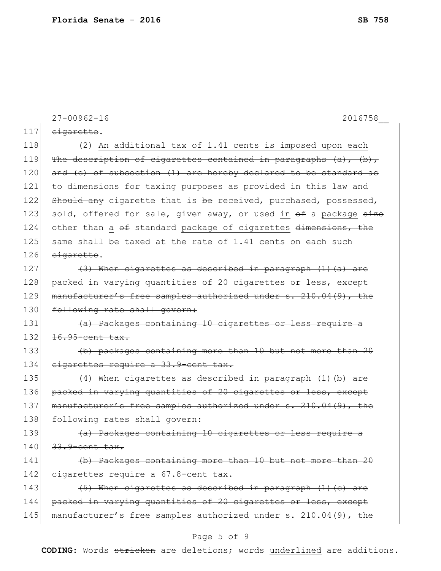|     | $27 - 00962 - 16$<br>2016758                                          |
|-----|-----------------------------------------------------------------------|
| 117 | eigarette.                                                            |
| 118 | (2) An additional tax of 1.41 cents is imposed upon each              |
| 119 | The description of cigarettes contained in paragraphs $(a)$ , $(b)$ , |
| 120 | and $(c)$ of subsection $(1)$ are hereby declared to be standard as   |
| 121 | to dimensions for taxing purposes as provided in this law and         |
| 122 | Should any cigarette that is be received, purchased, possessed,       |
| 123 | sold, offered for sale, given away, or used in of a package size      |
| 124 | other than a of standard package of cigarettes dimensions, the        |
| 125 | same shall be taxed at the rate of 1.41 cents on each such            |
| 126 | eigarette.                                                            |
| 127 | $(3)$ When cigarettes as described in paragraph $(1)$ (a) are         |
| 128 | packed in varying quantities of 20 cigarettes or less, except         |
| 129 | manufacturer's free samples authorized under s. 210.04(9), the        |
| 130 | following rate shall govern:                                          |
| 131 | (a) Packages containing 10 cigarettes or less require a               |
| 132 | 16.95-cent tax.                                                       |
| 133 | (b) packages containing more than 10 but not more than 20             |
| 134 | cigarettes require a 33.9-cent tax.                                   |
| 135 | $(4)$ When cigarettes as described in paragraph $(1)$ (b) are         |
| 136 | packed in varying quantities of 20 cigarettes or less, except         |
| 137 | manufacturer's free samples authorized under s. 210.04(9), the        |
| 138 | following rates shall govern:                                         |
| 139 | (a) Packages containing 10 cigarettes or less require a               |
| 140 | 33.9-cent tax.                                                        |
| 141 | (b) Packages containing more than 10 but not more than 20             |
| 142 | cigarettes require a 67.8-cent tax.                                   |
| 143 | (5) When cigarettes as described in paragraph (1) (c) are             |
| 144 | packed in varying quantities of 20 cigarettes or less, except         |
| 145 | manufacturer's free samples authorized under s. 210.04(9), the        |

# Page 5 of 9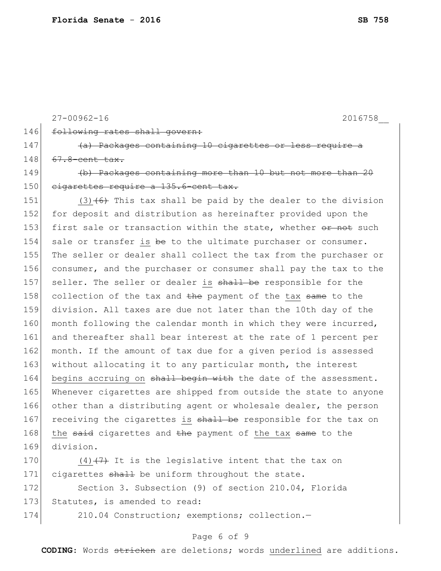```
27-00962-16 2016758__
146 following rates shall govern:
147 (a) Packages containing 10 cigarettes or less require
148 67.8-cent tax.
149 (b) Packages containing more than 10 but not more than 20
150 cigarettes require a 135.6-cent tax.
151 (3) (6) This tax shall be paid by the dealer to the division
152 for deposit and distribution as hereinafter provided upon the
153 first sale or transaction within the state, whether or not such
154 sale or transfer is be to the ultimate purchaser or consumer.
155 The seller or dealer shall collect the tax from the purchaser or 
156 consumer, and the purchaser or consumer shall pay the tax to the 
157 seller. The seller or dealer is shall be responsible for the
158 collection of the tax and the payment of the tax same to the
159 division. All taxes are due not later than the 10th day of the 
160 month following the calendar month in which they were incurred,
161 and thereafter shall bear interest at the rate of 1 percent per
162 month. If the amount of tax due for a given period is assessed
163 without allocating it to any particular month, the interest
164 begins accruing on shall begin with the date of the assessment.
165 Whenever cigarettes are shipped from outside the state to anyone 
166 other than a distributing agent or wholesale dealer, the person
167 receiving the cigarettes is shall be responsible for the tax on
168 the said cigarettes and the payment of the tax same to the
169 division.
170 (4) (7) It is the legislative intent that the tax on
```
171 cigarettes shall be uniform throughout the state.

172 Section 3. Subsection (9) of section 210.04, Florida 173 Statutes, is amended to read:

174 210.04 Construction; exemptions; collection.-

#### Page 6 of 9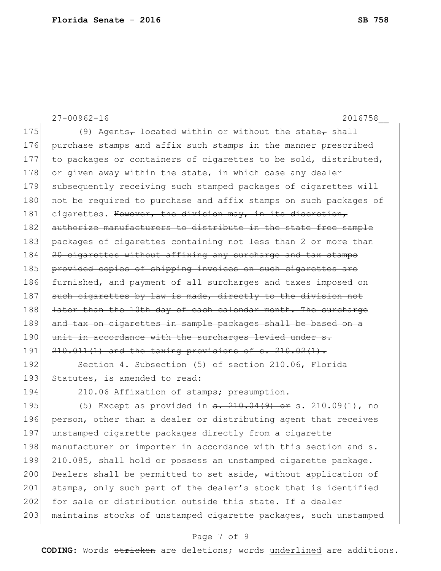27-00962-16 2016758\_\_ 175 (9) Agents<sub>7</sub> located within or without the state<sub>7</sub> shall 176 purchase stamps and affix such stamps in the manner prescribed 177 to packages or containers of cigarettes to be sold, distributed, 178 or given away within the state, in which case any dealer 179 subsequently receiving such stamped packages of cigarettes will 180 not be required to purchase and affix stamps on such packages of 181 cigarettes. However, the division may, in its discretion, 182 authorize manufacturers to distribute in the state free sample 183 packages of cigarettes containing not less than 2 or more than 184 20 cigarettes without affixing any surcharge and tax stamps 185 provided copies of shipping invoices on such cigarettes are 186 furnished, and payment of all surcharges and taxes imposed on 187 such cigarettes by law is made, directly to the division not 188 <del>later than the 10th day of each calendar month. The surcharge</del> 189 and tax on cigarettes in sample packages shall be based on a 190 unit in accordance with the surcharges levied under s. 191 210.011(1) and the taxing provisions of s. 210.02(1). 192 Section 4. Subsection (5) of section 210.06, Florida 193 Statutes, is amended to read: 194 210.06 Affixation of stamps; presumption.-195 (5) Except as provided in  $\frac{1}{9}$ ,  $\frac{210.04(9)}{9}$  or s. 210.09(1), no 196 person, other than a dealer or distributing agent that receives 197 unstamped cigarette packages directly from a cigarette 198 manufacturer or importer in accordance with this section and s.

200 Dealers shall be permitted to set aside, without application of 201 stamps, only such part of the dealer's stock that is identified 202 for sale or distribution outside this state. If a dealer 203 | maintains stocks of unstamped cigarette packages, such unstamped

199 210.085, shall hold or possess an unstamped cigarette package.

#### Page 7 of 9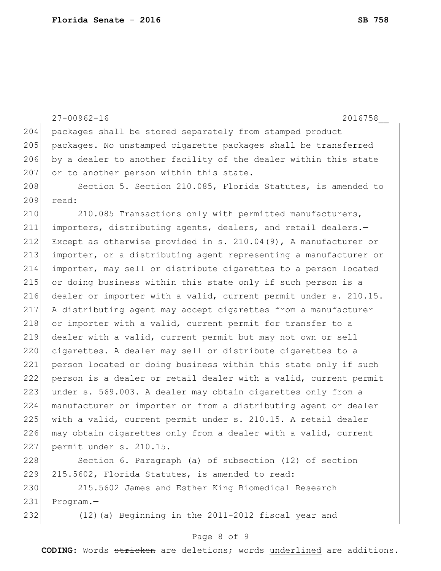|     | $27 - 00962 - 16$<br>2016758                                       |
|-----|--------------------------------------------------------------------|
| 204 | packages shall be stored separately from stamped product           |
| 205 | packages. No unstamped cigarette packages shall be transferred     |
| 206 | by a dealer to another facility of the dealer within this state    |
| 207 | or to another person within this state.                            |
| 208 | Section 5. Section 210.085, Florida Statutes, is amended to        |
| 209 | read:                                                              |
| 210 | 210.085 Transactions only with permitted manufacturers,            |
| 211 | importers, distributing agents, dealers, and retail dealers.-      |
| 212 | Except as otherwise provided in $s. 210.04(9)$ , A manufacturer or |
| 213 | importer, or a distributing agent representing a manufacturer or   |
| 214 | importer, may sell or distribute cigarettes to a person located    |
| 215 | or doing business within this state only if such person is a       |
| 216 | dealer or importer with a valid, current permit under s. 210.15.   |
| 217 | A distributing agent may accept cigarettes from a manufacturer     |
| 218 | or importer with a valid, current permit for transfer to a         |
| 219 | dealer with a valid, current permit but may not own or sell        |
| 220 | cigarettes. A dealer may sell or distribute cigarettes to a        |
| 221 | person located or doing business within this state only if such    |
| 222 | person is a dealer or retail dealer with a valid, current permit   |
| 223 | under s. 569.003. A dealer may obtain cigarettes only from a       |
| 224 | manufacturer or importer or from a distributing agent or dealer    |
| 225 | with a valid, current permit under s. 210.15. A retail dealer      |
| 226 | may obtain cigarettes only from a dealer with a valid, current     |
| 227 | permit under s. 210.15.                                            |
| 228 | Section 6. Paragraph (a) of subsection (12) of section             |
| 229 | 215.5602, Florida Statutes, is amended to read:                    |
| 230 | 215.5602 James and Esther King Biomedical Research                 |
| 231 | Program.-                                                          |
| 232 | (12) (a) Beginning in the 2011-2012 fiscal year and                |

# Page 8 of 9